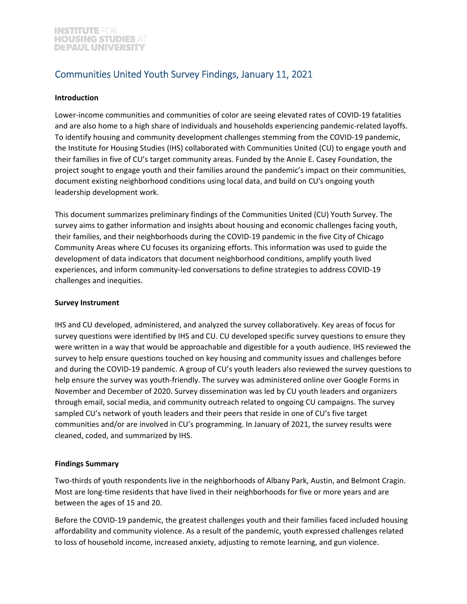# Communities United Youth Survey Findings, January 11, 2021

#### **Introduction**

Lower-income communities and communities of color are seeing elevated rates of COVID-19 fatalities and are also home to a high share of individuals and households experiencing pandemic-related layoffs. To identify housing and community development challenges stemming from the COVID‐19 pandemic, the Institute for Housing Studies (IHS) collaborated with Communities United (CU) to engage youth and their families in five of CU's target community areas. Funded by the Annie E. Casey Foundation, the project sought to engage youth and their families around the pandemic's impact on their communities, document existing neighborhood conditions using local data, and build on CU's ongoing youth leadership development work.

This document summarizes preliminary findings of the Communities United (CU) Youth Survey. The survey aims to gather information and insights about housing and economic challenges facing youth, their families, and their neighborhoods during the COVID‐19 pandemic in the five City of Chicago Community Areas where CU focuses its organizing efforts. This information was used to guide the development of data indicators that document neighborhood conditions, amplify youth lived experiences, and inform community-led conversations to define strategies to address COVID-19 challenges and inequities.

#### **Survey Instrument**

IHS and CU developed, administered, and analyzed the survey collaboratively. Key areas of focus for survey questions were identified by IHS and CU. CU developed specific survey questions to ensure they were written in a way that would be approachable and digestible for a youth audience. IHS reviewed the survey to help ensure questions touched on key housing and community issues and challenges before and during the COVID-19 pandemic. A group of CU's youth leaders also reviewed the survey questions to help ensure the survey was youth-friendly. The survey was administered online over Google Forms in November and December of 2020. Survey dissemination was led by CU youth leaders and organizers through email, social media, and community outreach related to ongoing CU campaigns. The survey sampled CU's network of youth leaders and their peers that reside in one of CU's five target communities and/or are involved in CU's programming. In January of 2021, the survey results were cleaned, coded, and summarized by IHS.

# **Findings Summary**

Two-thirds of youth respondents live in the neighborhoods of Albany Park, Austin, and Belmont Cragin. Most are long-time residents that have lived in their neighborhoods for five or more years and are between the ages of 15 and 20.

Before the COVID‐19 pandemic, the greatest challenges youth and their families faced included housing affordability and community violence. As a result of the pandemic, youth expressed challenges related to loss of household income, increased anxiety, adjusting to remote learning, and gun violence.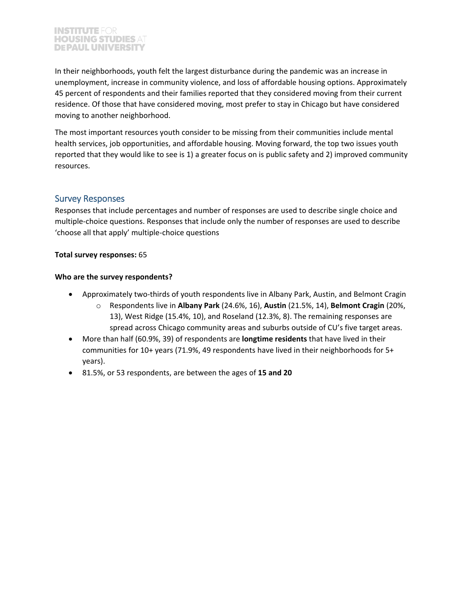In their neighborhoods, youth felt the largest disturbance during the pandemic was an increase in unemployment, increase in community violence, and loss of affordable housing options. Approximately 45 percent of respondents and their families reported that they considered moving from their current residence. Of those that have considered moving, most prefer to stay in Chicago but have considered moving to another neighborhood.

The most important resources youth consider to be missing from their communities include mental health services, job opportunities, and affordable housing. Moving forward, the top two issues youth reported that they would like to see is 1) a greater focus on is public safety and 2) improved community resources.

# Survey Responses

Responses that include percentages and number of responses are used to describe single choice and multiple‐choice questions. Responses that include only the number of responses are used to describe 'choose all that apply' multiple‐choice questions

## **Total survey responses:** 65

## **Who are the survey respondents?**

- Approximately two-thirds of youth respondents live in Albany Park, Austin, and Belmont Cragin
	- o Respondents live in **Albany Park** (24.6%, 16), **Austin** (21.5%, 14), **Belmont Cragin** (20%, 13), West Ridge (15.4%, 10), and Roseland (12.3%, 8). The remaining responses are spread across Chicago community areas and suburbs outside of CU's five target areas.
- More than half (60.9%, 39) of respondents are **longtime residents** that have lived in their communities for 10+ years (71.9%, 49 respondents have lived in their neighborhoods for 5+ years).
- 81.5%, or 53 respondents, are between the ages of **15 and 20**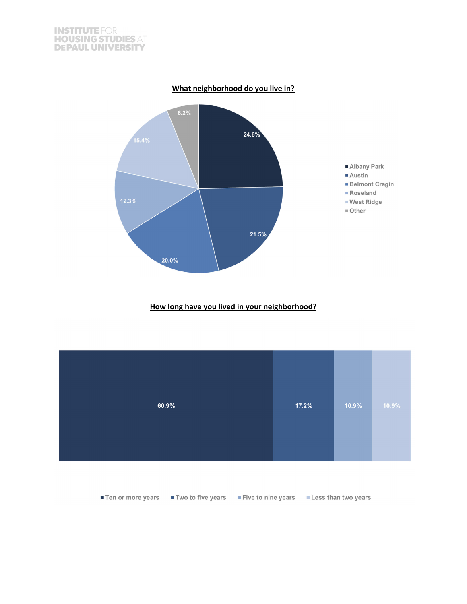



**How long have you lived in your neighborhood?**



**■ Ten or more years** ■ Two to five years ■ Five to nine years ■ Less than two years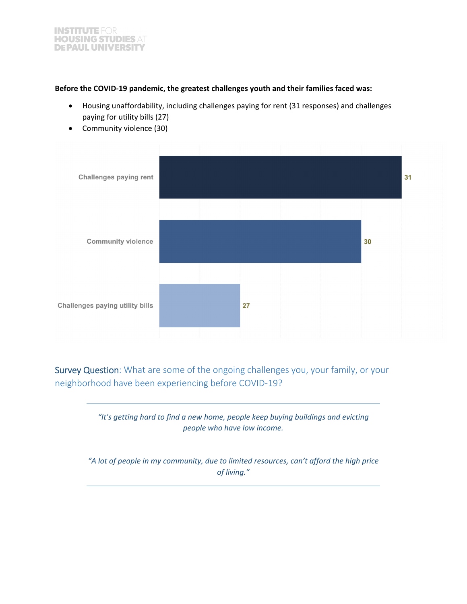## **Before the COVID‐19 pandemic, the greatest challenges youth and their families faced was:**

- Housing unaffordability, including challenges paying for rent (31 responses) and challenges paying for utility bills (27)
- Challenges paying rent 31 30 **Community violence** Challenges paying utility bills 27
- Community violence (30)

Survey Question: What are some of the ongoing challenges you, your family, or your neighborhood have been experiencing before COVID‐19?



*"A lot of people in my community, due to limited resources, can't afford the high price of living."*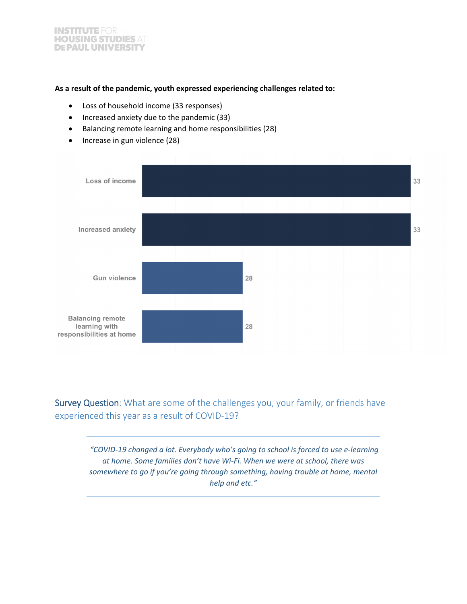#### **As a result of the pandemic, youth expressed experiencing challenges related to:**

- Loss of household income (33 responses)
- Increased anxiety due to the pandemic (33)
- Balancing remote learning and home responsibilities (28)
- Increase in gun violence (28)



Survey Question: What are some of the challenges you, your family, or friends have experienced this year as a result of COVID‐19?

> *"COVID‐19 changed a lot. Everybody who's going to school is forced to use e‐learning at home. Some families don't have Wi‐Fi. When we were at school, there was somewhere to go if you're going through something, having trouble at home, mental help and etc."*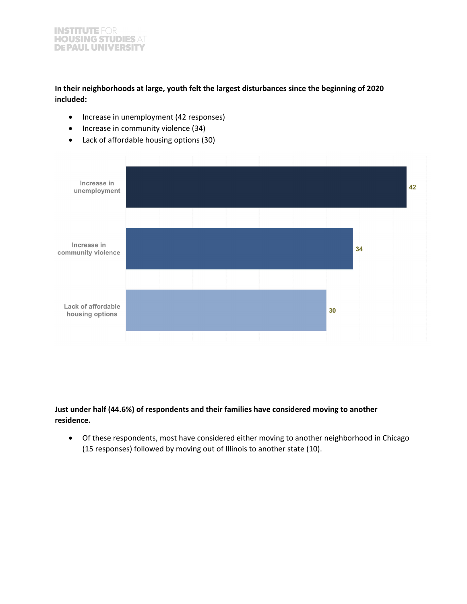**In their neighborhoods at large, youth felt the largest disturbances since the beginning of 2020 included:**

- Increase in unemployment (42 responses)
- Increase in community violence (34)
- Lack of affordable housing options (30)



**Just under half (44.6%) of respondents and their families have considered moving to another residence.** 

 Of these respondents, most have considered either moving to another neighborhood in Chicago (15 responses) followed by moving out of Illinois to another state (10).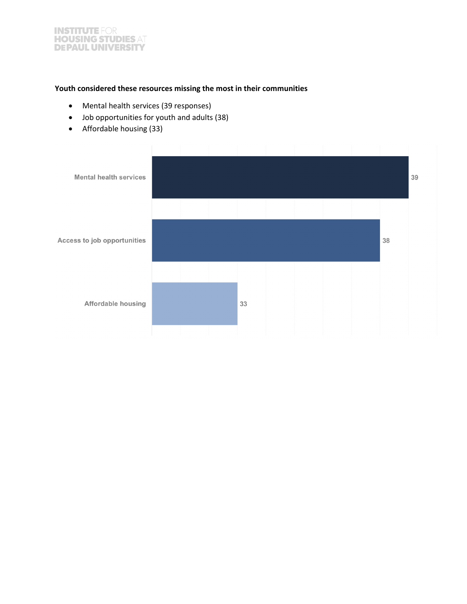## **Youth considered these resources missing the most in their communities**

- Mental health services (39 responses)
- Job opportunities for youth and adults (38)
- Affordable housing (33)